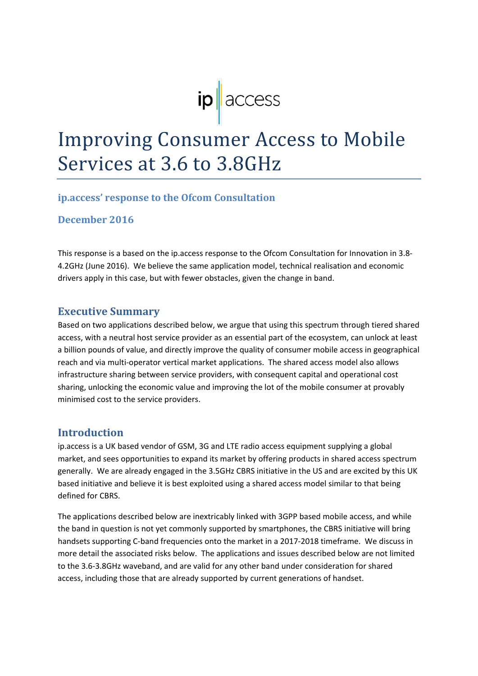# $ip \nvert$  access

# **Improving Consumer Access to Mobile** Services at 3.6 to 3.8GHz

#### **ip.access' response to the Ofcom Consultation**

**December 2016**

This response is a based on the ip.access response to the Ofcom Consultation for Innovation in 3.8‐ 4.2GHz (June 2016). We believe the same application model, technical realisation and economic drivers apply in this case, but with fewer obstacles, given the change in band.

### **Executive Summary**

Based on two applications described below, we argue that using this spectrum through tiered shared access, with a neutral host service provider as an essential part of the ecosystem, can unlock at least a billion pounds of value, and directly improve the quality of consumer mobile access in geographical reach and via multi‐operator vertical market applications. The shared access model also allows infrastructure sharing between service providers, with consequent capital and operational cost sharing, unlocking the economic value and improving the lot of the mobile consumer at provably minimised cost to the service providers.

#### **Introduction**

ip.access is a UK based vendor of GSM, 3G and LTE radio access equipment supplying a global market, and sees opportunities to expand its market by offering products in shared access spectrum generally. We are already engaged in the 3.5GHz CBRS initiative in the US and are excited by this UK based initiative and believe it is best exploited using a shared access model similar to that being defined for CBRS.

The applications described below are inextricably linked with 3GPP based mobile access, and while the band in question is not yet commonly supported by smartphones, the CBRS initiative will bring handsets supporting C-band frequencies onto the market in a 2017-2018 timeframe. We discuss in more detail the associated risks below. The applications and issues described below are not limited to the 3.6‐3.8GHz waveband, and are valid for any other band under consideration for shared access, including those that are already supported by current generations of handset.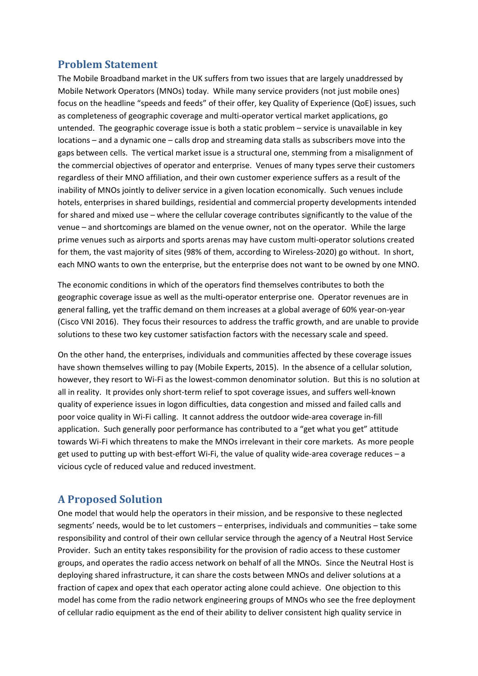# **Problem Statement**

The Mobile Broadband market in the UK suffers from two issues that are largely unaddressed by Mobile Network Operators (MNOs) today. While many service providers (not just mobile ones) focus on the headline "speeds and feeds" of their offer, key Quality of Experience (QoE) issues, such as completeness of geographic coverage and multi-operator vertical market applications, go untended. The geographic coverage issue is both a static problem – service is unavailable in key locations – and a dynamic one – calls drop and streaming data stalls as subscribers move into the gaps between cells. The vertical market issue is a structural one, stemming from a misalignment of the commercial objectives of operator and enterprise. Venues of many types serve their customers regardless of their MNO affiliation, and their own customer experience suffers as a result of the inability of MNOs jointly to deliver service in a given location economically. Such venues include hotels, enterprises in shared buildings, residential and commercial property developments intended for shared and mixed use – where the cellular coverage contributes significantly to the value of the venue – and shortcomings are blamed on the venue owner, not on the operator. While the large prime venues such as airports and sports arenas may have custom multi-operator solutions created for them, the vast majority of sites (98% of them, according to Wireless-2020) go without. In short, each MNO wants to own the enterprise, but the enterprise does not want to be owned by one MNO.

The economic conditions in which of the operators find themselves contributes to both the geographic coverage issue as well as the multi‐operator enterprise one. Operator revenues are in general falling, yet the traffic demand on them increases at a global average of 60% year‐on‐year (Cisco VNI 2016). They focus their resources to address the traffic growth, and are unable to provide solutions to these two key customer satisfaction factors with the necessary scale and speed.

On the other hand, the enterprises, individuals and communities affected by these coverage issues have shown themselves willing to pay (Mobile Experts, 2015). In the absence of a cellular solution, however, they resort to Wi-Fi as the lowest-common denominator solution. But this is no solution at all in reality. It provides only short-term relief to spot coverage issues, and suffers well-known quality of experience issues in logon difficulties, data congestion and missed and failed calls and poor voice quality in Wi-Fi calling. It cannot address the outdoor wide-area coverage in-fill application. Such generally poor performance has contributed to a "get what you get" attitude towards Wi‐Fi which threatens to make the MNOs irrelevant in their core markets. As more people get used to putting up with best-effort Wi-Fi, the value of quality wide-area coverage reduces – a vicious cycle of reduced value and reduced investment.

# **A Proposed Solution**

One model that would help the operators in their mission, and be responsive to these neglected segments' needs, would be to let customers – enterprises, individuals and communities – take some responsibility and control of their own cellular service through the agency of a Neutral Host Service Provider. Such an entity takes responsibility for the provision of radio access to these customer groups, and operates the radio access network on behalf of all the MNOs. Since the Neutral Host is deploying shared infrastructure, it can share the costs between MNOs and deliver solutions at a fraction of capex and opex that each operator acting alone could achieve. One objection to this model has come from the radio network engineering groups of MNOs who see the free deployment of cellular radio equipment as the end of their ability to deliver consistent high quality service in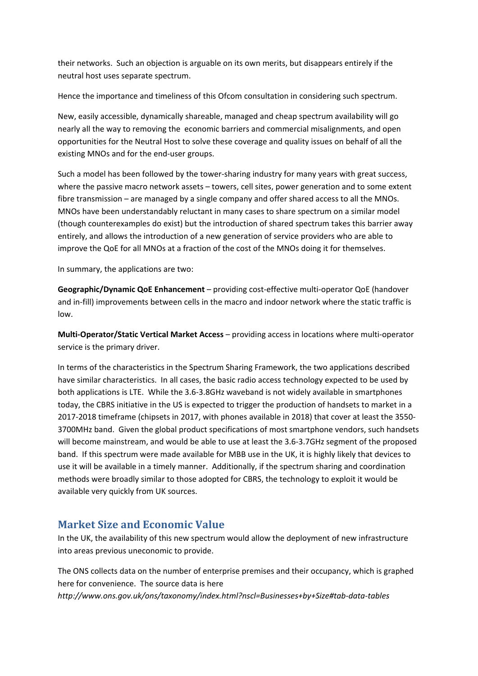their networks. Such an objection is arguable on its own merits, but disappears entirely if the neutral host uses separate spectrum.

Hence the importance and timeliness of this Ofcom consultation in considering such spectrum.

New, easily accessible, dynamically shareable, managed and cheap spectrum availability will go nearly all the way to removing the economic barriers and commercial misalignments, and open opportunities for the Neutral Host to solve these coverage and quality issues on behalf of all the existing MNOs and for the end‐user groups.

Such a model has been followed by the tower‐sharing industry for many years with great success, where the passive macro network assets – towers, cell sites, power generation and to some extent fibre transmission – are managed by a single company and offer shared access to all the MNOs. MNOs have been understandably reluctant in many cases to share spectrum on a similar model (though counterexamples do exist) but the introduction of shared spectrum takes this barrier away entirely, and allows the introduction of a new generation of service providers who are able to improve the QoE for all MNOs at a fraction of the cost of the MNOs doing it for themselves.

In summary, the applications are two:

**Geographic/Dynamic QoE Enhancement** – providing cost‐effective multi‐operator QoE (handover and in-fill) improvements between cells in the macro and indoor network where the static traffic is low.

**Multi‐Operator/Static Vertical Market Access** – providing access in locations where multi‐operator service is the primary driver.

In terms of the characteristics in the Spectrum Sharing Framework, the two applications described have similar characteristics. In all cases, the basic radio access technology expected to be used by both applications is LTE. While the 3.6‐3.8GHz waveband is not widely available in smartphones today, the CBRS initiative in the US is expected to trigger the production of handsets to market in a 2017‐2018 timeframe (chipsets in 2017, with phones available in 2018) that cover at least the 3550‐ 3700MHz band. Given the global product specifications of most smartphone vendors, such handsets will become mainstream, and would be able to use at least the 3.6‐3.7GHz segment of the proposed band. If this spectrum were made available for MBB use in the UK, it is highly likely that devices to use it will be available in a timely manner. Additionally, if the spectrum sharing and coordination methods were broadly similar to those adopted for CBRS, the technology to exploit it would be available very quickly from UK sources.

# **Market Size and Economic Value**

In the UK, the availability of this new spectrum would allow the deployment of new infrastructure into areas previous uneconomic to provide.

The ONS collects data on the number of enterprise premises and their occupancy, which is graphed here for convenience. The source data is here *http://www.ons.gov.uk/ons/taxonomy/index.html?nscl=Businesses+by+Size#tab‐data‐tables*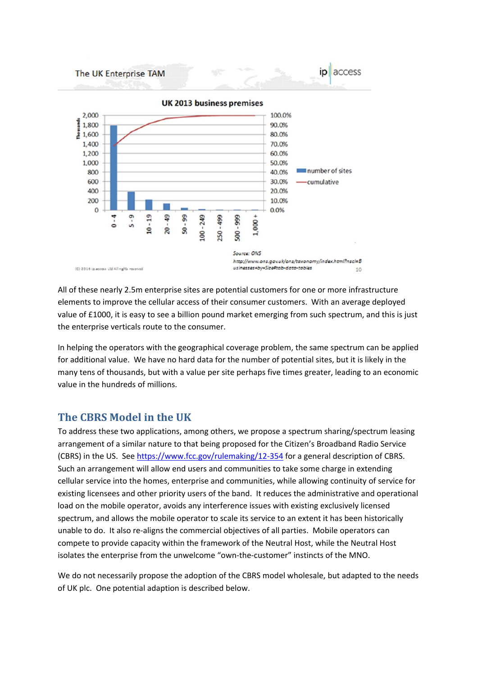

All of these nearly 2.5m enterprise sites are potential customers for one or more infrastructure elements to improve the cellular access of their consumer customers. With an average deployed value of £1000, it is easy to see a billion pound market emerging from such spectrum, and this is just the enterprise verticals route to the consumer.

In helping the operators with the geographical coverage problem, the same spectrum can be applied for additional value. We have no hard data for the number of potential sites, but it is likely in the many tens of thousands, but with a value per site perhaps five times greater, leading to an economic value in the hundreds of millions.

#### **The CBRS Model in the UK**

To address these two applications, among others, we propose a spectrum sharing/spectrum leasing arrangement of a similar nature to that being proposed for the Citizen's Broadband Radio Service (CBRS) in the US. See https://www.fcc.gov/rulemaking/12‐354 for a general description of CBRS. Such an arrangement will allow end users and communities to take some charge in extending cellular service into the homes, enterprise and communities, while allowing continuity of service for existing licensees and other priority users of the band. It reduces the administrative and operational load on the mobile operator, avoids any interference issues with existing exclusively licensed spectrum, and allows the mobile operator to scale its service to an extent it has been historically unable to do. It also re-aligns the commercial objectives of all parties. Mobile operators can compete to provide capacity within the framework of the Neutral Host, while the Neutral Host isolates the enterprise from the unwelcome "own‐the‐customer" instincts of the MNO.

We do not necessarily propose the adoption of the CBRS model wholesale, but adapted to the needs of UK plc. One potential adaption is described below.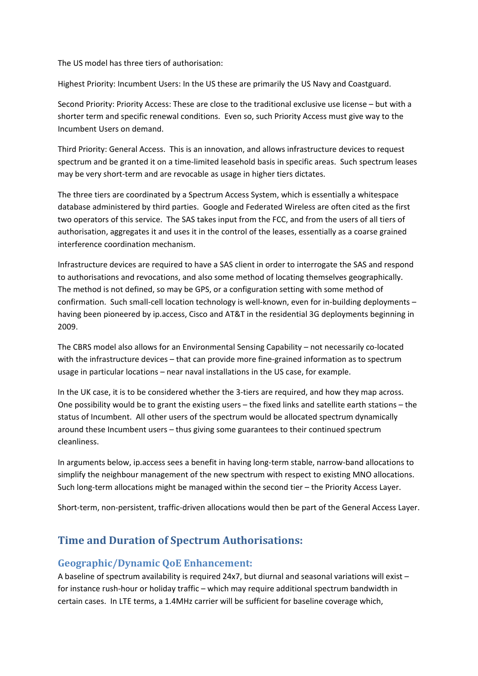The US model has three tiers of authorisation:

Highest Priority: Incumbent Users: In the US these are primarily the US Navy and Coastguard.

Second Priority: Priority Access: These are close to the traditional exclusive use license – but with a shorter term and specific renewal conditions. Even so, such Priority Access must give way to the Incumbent Users on demand.

Third Priority: General Access. This is an innovation, and allows infrastructure devices to request spectrum and be granted it on a time-limited leasehold basis in specific areas. Such spectrum leases may be very short-term and are revocable as usage in higher tiers dictates.

The three tiers are coordinated by a Spectrum Access System, which is essentially a whitespace database administered by third parties. Google and Federated Wireless are often cited as the first two operators of this service. The SAS takes input from the FCC, and from the users of all tiers of authorisation, aggregates it and uses it in the control of the leases, essentially as a coarse grained interference coordination mechanism.

Infrastructure devices are required to have a SAS client in order to interrogate the SAS and respond to authorisations and revocations, and also some method of locating themselves geographically. The method is not defined, so may be GPS, or a configuration setting with some method of confirmation. Such small-cell location technology is well-known, even for in-building deployments – having been pioneered by ip.access, Cisco and AT&T in the residential 3G deployments beginning in 2009.

The CBRS model also allows for an Environmental Sensing Capability – not necessarily co‐located with the infrastructure devices – that can provide more fine-grained information as to spectrum usage in particular locations – near naval installations in the US case, for example.

In the UK case, it is to be considered whether the 3‐tiers are required, and how they map across. One possibility would be to grant the existing users – the fixed links and satellite earth stations – the status of Incumbent. All other users of the spectrum would be allocated spectrum dynamically around these Incumbent users – thus giving some guarantees to their continued spectrum cleanliness.

In arguments below, ip.access sees a benefit in having long‐term stable, narrow‐band allocations to simplify the neighbour management of the new spectrum with respect to existing MNO allocations. Such long-term allocations might be managed within the second tier – the Priority Access Layer.

Short-term, non-persistent, traffic-driven allocations would then be part of the General Access Layer.

#### **Time and Duration of Spectrum Authorisations:**

#### **Geographic/Dynamic QoE Enhancement:**

A baseline of spectrum availability is required 24x7, but diurnal and seasonal variations will exist – for instance rush-hour or holiday traffic – which may require additional spectrum bandwidth in certain cases. In LTE terms, a 1.4MHz carrier will be sufficient for baseline coverage which,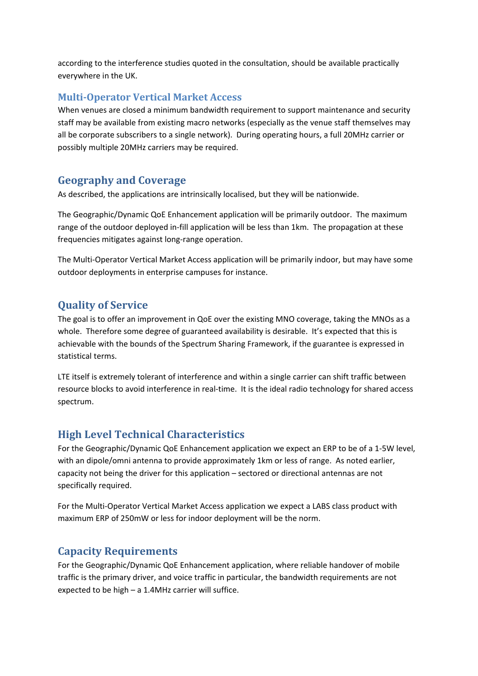according to the interference studies quoted in the consultation, should be available practically everywhere in the UK.

#### **Multi‐Operator Vertical Market Access**

When venues are closed a minimum bandwidth requirement to support maintenance and security staff may be available from existing macro networks (especially as the venue staff themselves may all be corporate subscribers to a single network). During operating hours, a full 20MHz carrier or possibly multiple 20MHz carriers may be required.

#### **Geography and Coverage**

As described, the applications are intrinsically localised, but they will be nationwide.

The Geographic/Dynamic QoE Enhancement application will be primarily outdoor. The maximum range of the outdoor deployed in-fill application will be less than 1km. The propagation at these frequencies mitigates against long‐range operation.

The Multi‐Operator Vertical Market Access application will be primarily indoor, but may have some outdoor deployments in enterprise campuses for instance.

#### **Quality of Service**

The goal is to offer an improvement in QoE over the existing MNO coverage, taking the MNOs as a whole. Therefore some degree of guaranteed availability is desirable. It's expected that this is achievable with the bounds of the Spectrum Sharing Framework, if the guarantee is expressed in statistical terms.

LTE itself is extremely tolerant of interference and within a single carrier can shift traffic between resource blocks to avoid interference in real-time. It is the ideal radio technology for shared access spectrum.

#### **High Level Technical Characteristics**

For the Geographic/Dynamic QoE Enhancement application we expect an ERP to be of a 1‐5W level, with an dipole/omni antenna to provide approximately 1km or less of range. As noted earlier, capacity not being the driver for this application – sectored or directional antennas are not specifically required.

For the Multi-Operator Vertical Market Access application we expect a LABS class product with maximum ERP of 250mW or less for indoor deployment will be the norm.

#### **Capacity Requirements**

For the Geographic/Dynamic QoE Enhancement application, where reliable handover of mobile traffic is the primary driver, and voice traffic in particular, the bandwidth requirements are not expected to be high – a 1.4MHz carrier will suffice.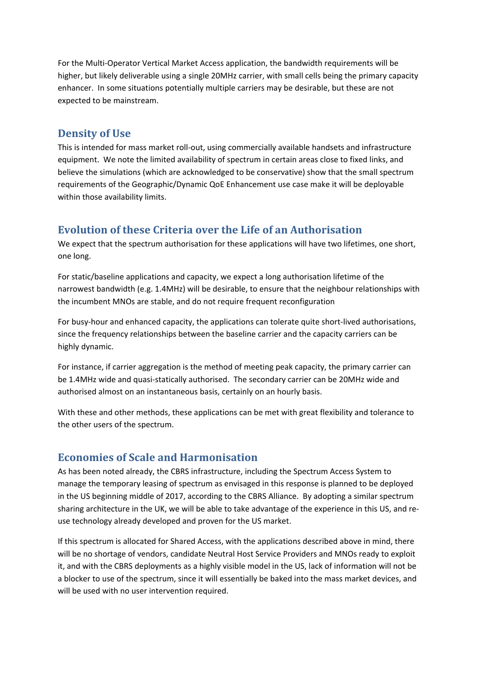For the Multi‐Operator Vertical Market Access application, the bandwidth requirements will be higher, but likely deliverable using a single 20MHz carrier, with small cells being the primary capacity enhancer. In some situations potentially multiple carriers may be desirable, but these are not expected to be mainstream.

#### **Density of Use**

This is intended for mass market roll‐out, using commercially available handsets and infrastructure equipment. We note the limited availability of spectrum in certain areas close to fixed links, and believe the simulations (which are acknowledged to be conservative) show that the small spectrum requirements of the Geographic/Dynamic QoE Enhancement use case make it will be deployable within those availability limits.

#### **Evolution of these Criteria over the Life of an Authorisation**

We expect that the spectrum authorisation for these applications will have two lifetimes, one short, one long.

For static/baseline applications and capacity, we expect a long authorisation lifetime of the narrowest bandwidth (e.g. 1.4MHz) will be desirable, to ensure that the neighbour relationships with the incumbent MNOs are stable, and do not require frequent reconfiguration

For busy‐hour and enhanced capacity, the applications can tolerate quite short‐lived authorisations, since the frequency relationships between the baseline carrier and the capacity carriers can be highly dynamic.

For instance, if carrier aggregation is the method of meeting peak capacity, the primary carrier can be 1.4MHz wide and quasi-statically authorised. The secondary carrier can be 20MHz wide and authorised almost on an instantaneous basis, certainly on an hourly basis.

With these and other methods, these applications can be met with great flexibility and tolerance to the other users of the spectrum.

#### **Economies of Scale and Harmonisation**

As has been noted already, the CBRS infrastructure, including the Spectrum Access System to manage the temporary leasing of spectrum as envisaged in this response is planned to be deployed in the US beginning middle of 2017, according to the CBRS Alliance. By adopting a similar spectrum sharing architecture in the UK, we will be able to take advantage of the experience in this US, and re‐ use technology already developed and proven for the US market.

If this spectrum is allocated for Shared Access, with the applications described above in mind, there will be no shortage of vendors, candidate Neutral Host Service Providers and MNOs ready to exploit it, and with the CBRS deployments as a highly visible model in the US, lack of information will not be a blocker to use of the spectrum, since it will essentially be baked into the mass market devices, and will be used with no user intervention required.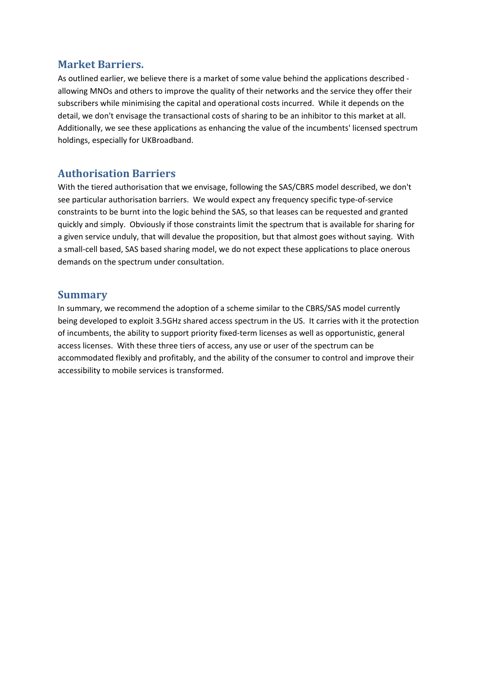#### **Market Barriers.**

As outlined earlier, we believe there is a market of some value behind the applications described ‐ allowing MNOs and others to improve the quality of their networks and the service they offer their subscribers while minimising the capital and operational costs incurred. While it depends on the detail, we don't envisage the transactional costs of sharing to be an inhibitor to this market at all. Additionally, we see these applications as enhancing the value of the incumbents' licensed spectrum holdings, especially for UKBroadband.

# **Authorisation Barriers**

With the tiered authorisation that we envisage, following the SAS/CBRS model described, we don't see particular authorisation barriers. We would expect any frequency specific type-of-service constraints to be burnt into the logic behind the SAS, so that leases can be requested and granted quickly and simply. Obviously if those constraints limit the spectrum that is available for sharing for a given service unduly, that will devalue the proposition, but that almost goes without saying. With a small-cell based, SAS based sharing model, we do not expect these applications to place onerous demands on the spectrum under consultation.

#### **Summary**

In summary, we recommend the adoption of a scheme similar to the CBRS/SAS model currently being developed to exploit 3.5GHz shared access spectrum in the US. It carries with it the protection of incumbents, the ability to support priority fixed‐term licenses as well as opportunistic, general access licenses. With these three tiers of access, any use or user of the spectrum can be accommodated flexibly and profitably, and the ability of the consumer to control and improve their accessibility to mobile services is transformed.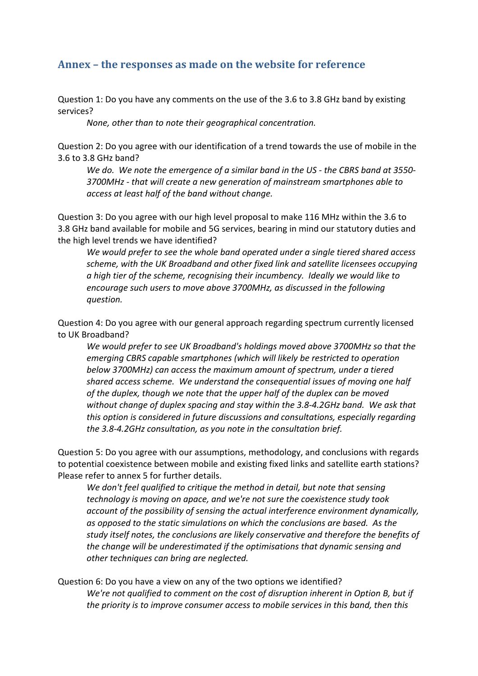# **Annex – the responses as made on the website for reference**

Question 1: Do you have any comments on the use of the 3.6 to 3.8 GHz band by existing services?

*None, other than to note their geographical concentration.*

Question 2: Do you agree with our identification of a trend towards the use of mobile in the 3.6 to 3.8 GHz band?

We do. We note the emergence of a similar band in the US - the CBRS band at 3550-*3700MHz ‐ that will create a new generation of mainstream smartphones able to access at least half of the band without change.*

Question 3: Do you agree with our high level proposal to make 116 MHz within the 3.6 to 3.8 GHz band available for mobile and 5G services, bearing in mind our statutory duties and the high level trends we have identified?

*We would prefer to see the whole band operated under a single tiered shared access scheme, with the UK Broadband and other fixed link and satellite licensees occupying a high tier of the scheme, recognising their incumbency. Ideally we would like to encourage such users to move above 3700MHz, as discussed in the following question.*

Question 4: Do you agree with our general approach regarding spectrum currently licensed to UK Broadband?

*We would prefer to see UK Broadband's holdings moved above 3700MHz so that the emerging CBRS capable smartphones (which will likely be restricted to operation below 3700MHz) can access the maximum amount of spectrum, under a tiered shared access scheme. We understand the consequential issues of moving one half of the duplex, though we note that the upper half of the duplex can be moved without change of duplex spacing and stay within the 3.8‐4.2GHz band. We ask that this option is considered in future discussions and consultations, especially regarding the 3.8‐4.2GHz consultation, as you note in the consultation brief.*

Question 5: Do you agree with our assumptions, methodology, and conclusions with regards to potential coexistence between mobile and existing fixed links and satellite earth stations? Please refer to annex 5 for further details.

*We don't feel qualified to critique the method in detail, but note that sensing technology is moving on apace, and we're not sure the coexistence study took account of the possibility of sensing the actual interference environment dynamically, as opposed to the static simulations on which the conclusions are based. As the study itself notes, the conclusions are likely conservative and therefore the benefits of the change will be underestimated if the optimisations that dynamic sensing and other techniques can bring are neglected.*

Question 6: Do you have a view on any of the two options we identified? *We're not qualified to comment on the cost of disruption inherent in Option B, but if the priority is to improve consumer access to mobile services in this band, then this*